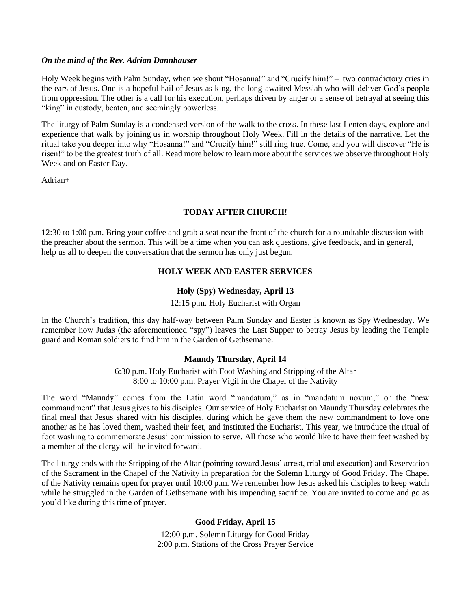#### *On the mind of the Rev. Adrian Dannhauser*

Holy Week begins with Palm Sunday, when we shout "Hosanna!" and "Crucify him!" – two contradictory cries in the ears of Jesus. One is a hopeful hail of Jesus as king, the long-awaited Messiah who will deliver God's people from oppression. The other is a call for his execution, perhaps driven by anger or a sense of betrayal at seeing this "king" in custody, beaten, and seemingly powerless.

The liturgy of Palm Sunday is a condensed version of the walk to the cross. In these last Lenten days, explore and experience that walk by joining us in worship throughout Holy Week. Fill in the details of the narrative. Let the ritual take you deeper into why "Hosanna!" and "Crucify him!" still ring true. Come, and you will discover "He is risen!" to be the greatest truth of all. Read more below to learn more about the services we observe throughout Holy Week and on Easter Day.

Adrian+

# **TODAY AFTER CHURCH!**

12:30 to 1:00 p.m. Bring your coffee and grab a seat near the front of the church for a roundtable discussion with the preacher about the sermon. This will be a time when you can ask questions, give feedback, and in general, help us all to deepen the conversation that the sermon has only just begun.

## **HOLY WEEK AND EASTER SERVICES**

## **Holy (Spy) Wednesday, April 13**

#### 12:15 p.m. Holy Eucharist with Organ

In the Church's tradition, this day half-way between Palm Sunday and Easter is known as Spy Wednesday. We remember how Judas (the aforementioned "spy") leaves the Last Supper to betray Jesus by leading the Temple guard and Roman soldiers to find him in the Garden of Gethsemane.

## **Maundy Thursday, April 14**

6:30 p.m. Holy Eucharist with Foot Washing and Stripping of the Altar 8:00 to 10:00 p.m. Prayer Vigil in the Chapel of the Nativity

The word "Maundy" comes from the Latin word "mandatum," as in "mandatum novum," or the "new commandment" that Jesus gives to his disciples. Our service of Holy Eucharist on Maundy Thursday celebrates the final meal that Jesus shared with his disciples, during which he gave them the new commandment to love one another as he has loved them, washed their feet, and instituted the Eucharist. This year, we introduce the ritual of foot washing to commemorate Jesus' commission to serve. All those who would like to have their feet washed by a member of the clergy will be invited forward.

The liturgy ends with the Stripping of the Altar (pointing toward Jesus' arrest, trial and execution) and Reservation of the Sacrament in the Chapel of the Nativity in preparation for the Solemn Liturgy of Good Friday. The Chapel of the Nativity remains open for prayer until 10:00 p.m. We remember how Jesus asked his disciples to keep watch while he struggled in the Garden of Gethsemane with his impending sacrifice. You are invited to come and go as you'd like during this time of prayer.

## **Good Friday, April 15**

12:00 p.m. Solemn Liturgy for Good Friday 2:00 p.m. Stations of the Cross Prayer Service